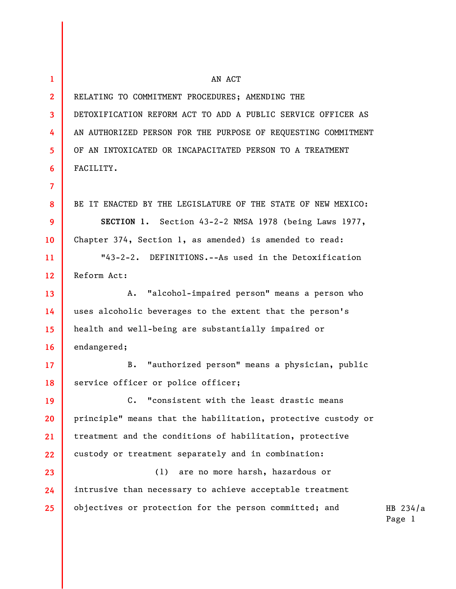| $\mathbf{1}$            | AN ACT                                                        |                      |
|-------------------------|---------------------------------------------------------------|----------------------|
| $\mathbf{2}$            | RELATING TO COMMITMENT PROCEDURES; AMENDING THE               |                      |
| $\overline{\mathbf{3}}$ | DETOXIFICATION REFORM ACT TO ADD A PUBLIC SERVICE OFFICER AS  |                      |
| 4                       | AN AUTHORIZED PERSON FOR THE PURPOSE OF REQUESTING COMMITMENT |                      |
| 5                       | OF AN INTOXICATED OR INCAPACITATED PERSON TO A TREATMENT      |                      |
| 6                       | FACILITY.                                                     |                      |
| $\overline{7}$          |                                                               |                      |
| 8                       | BE IT ENACTED BY THE LEGISLATURE OF THE STATE OF NEW MEXICO:  |                      |
| 9                       | SECTION 1. Section 43-2-2 NMSA 1978 (being Laws 1977,         |                      |
| 10                      | Chapter 374, Section 1, as amended) is amended to read:       |                      |
| 11                      | "43-2-2. DEFINITIONS.--As used in the Detoxification          |                      |
| 12 <sup>2</sup>         | Reform Act:                                                   |                      |
| 13                      | "alcohol-impaired person" means a person who<br>Α.            |                      |
| 14                      | uses alcoholic beverages to the extent that the person's      |                      |
| 15                      | health and well-being are substantially impaired or           |                      |
| 16                      | endangered;                                                   |                      |
| 17 <sup>2</sup>         | "authorized person" means a physician, public<br>$B$ .        |                      |
| 18                      | service officer or police officer;                            |                      |
| 19                      | $c_{\bullet}$<br>"consistent with the least drastic means     |                      |
| 20                      | principle" means that the habilitation, protective custody or |                      |
| 21                      | treatment and the conditions of habilitation, protective      |                      |
| 22                      | custody or treatment separately and in combination:           |                      |
| 23                      | are no more harsh, hazardous or<br>(1)                        |                      |
| 24                      | intrusive than necessary to achieve acceptable treatment      |                      |
| 25                      | objectives or protection for the person committed; and        | HB $234/a$<br>Page 1 |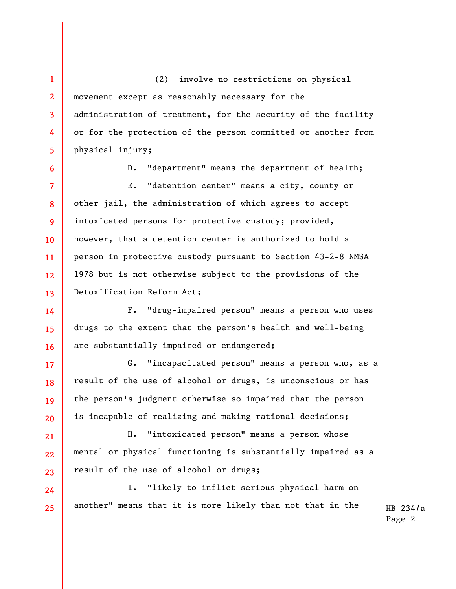(2) involve no restrictions on physical movement except as reasonably necessary for the administration of treatment, for the security of the facility or for the protection of the person committed or another from physical injury;

**1** 

**2** 

**3** 

**4** 

**5** 

**6** 

**14** 

**15** 

**16** 

**17** 

**18** 

**19** 

**20** 

**21** 

**22** 

**23** 

D. "department" means the department of health;

**7 8 9 10 11 12 13**  E. "detention center" means a city, county or other jail, the administration of which agrees to accept intoxicated persons for protective custody; provided, however, that a detention center is authorized to hold a person in protective custody pursuant to Section 43-2-8 NMSA 1978 but is not otherwise subject to the provisions of the Detoxification Reform Act;

F. "drug-impaired person" means a person who uses drugs to the extent that the person's health and well-being are substantially impaired or endangered;

G. "incapacitated person" means a person who, as a result of the use of alcohol or drugs, is unconscious or has the person's judgment otherwise so impaired that the person is incapable of realizing and making rational decisions;

H. "intoxicated person" means a person whose mental or physical functioning is substantially impaired as a result of the use of alcohol or drugs;

**24 25**  I. "likely to inflict serious physical harm on another" means that it is more likely than not that in the

HB 234/a Page 2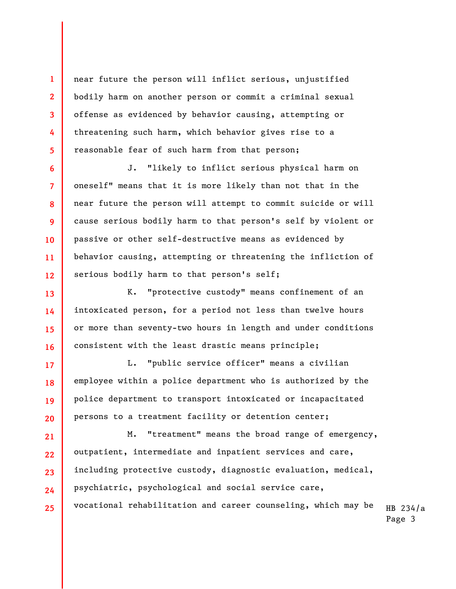near future the person will inflict serious, unjustified bodily harm on another person or commit a criminal sexual offense as evidenced by behavior causing, attempting or threatening such harm, which behavior gives rise to a reasonable fear of such harm from that person;

J. "likely to inflict serious physical harm on oneself" means that it is more likely than not that in the near future the person will attempt to commit suicide or will cause serious bodily harm to that person's self by violent or passive or other self-destructive means as evidenced by behavior causing, attempting or threatening the infliction of serious bodily harm to that person's self;

K. "protective custody" means confinement of an intoxicated person, for a period not less than twelve hours or more than seventy-two hours in length and under conditions consistent with the least drastic means principle;

L. "public service officer" means a civilian employee within a police department who is authorized by the police department to transport intoxicated or incapacitated persons to a treatment facility or detention center;

HB 234/a Page 3 M. "treatment" means the broad range of emergency, outpatient, intermediate and inpatient services and care, including protective custody, diagnostic evaluation, medical, psychiatric, psychological and social service care, vocational rehabilitation and career counseling, which may be

**1** 

**2** 

**3**